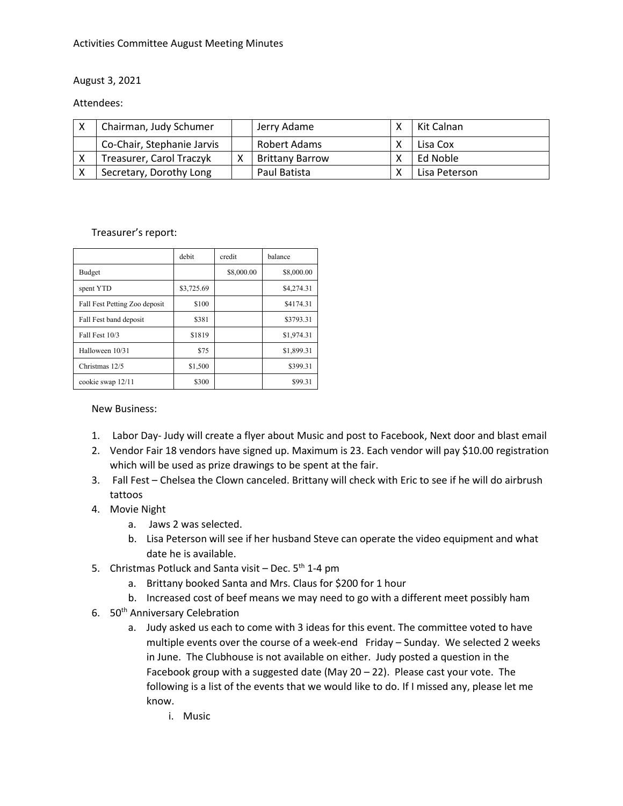#### Activities Committee August Meeting Minutes

#### August 3, 2021

#### Attendees:

|   | Chairman, Judy Schumer     | Jerry Adame            | Kit Calnan    |
|---|----------------------------|------------------------|---------------|
|   | Co-Chair, Stephanie Jarvis | Robert Adams           | Lisa Cox      |
|   | Treasurer, Carol Traczyk   | <b>Brittany Barrow</b> | Ed Noble      |
| X | Secretary, Dorothy Long    | Paul Batista           | Lisa Peterson |

#### Treasurer's report:

|                               | debit      | credit     | balance    |
|-------------------------------|------------|------------|------------|
| <b>Budget</b>                 |            | \$8,000.00 | \$8,000.00 |
| spent YTD                     | \$3,725.69 |            | \$4,274.31 |
| Fall Fest Petting Zoo deposit | \$100      |            | \$4174.31  |
| Fall Fest band deposit        | \$381      |            | \$3793.31  |
| Fall Fest 10/3                | \$1819     |            | \$1,974.31 |
| Halloween 10/31               | \$75       |            | \$1,899.31 |
| Christmas 12/5                | \$1,500    |            | \$399.31   |
| cookie swap 12/11             | \$300      |            | \$99.31    |

#### New Business:

- 1. Labor Day- Judy will create a flyer about Music and post to Facebook, Next door and blast email
- 2. Vendor Fair 18 vendors have signed up. Maximum is 23. Each vendor will pay \$10.00 registration which will be used as prize drawings to be spent at the fair.
- 3. Fall Fest Chelsea the Clown canceled. Brittany will check with Eric to see if he will do airbrush tattoos
- 4. Movie Night
	- a. Jaws 2 was selected.
	- b. Lisa Peterson will see if her husband Steve can operate the video equipment and what date he is available.
- 5. Christmas Potluck and Santa visit Dec.  $5<sup>th</sup> 1-4$  pm
	- a. Brittany booked Santa and Mrs. Claus for \$200 for 1 hour
	- b. Increased cost of beef means we may need to go with a different meet possibly ham
- 6. 50<sup>th</sup> Anniversary Celebration
	- a. Judy asked us each to come with 3 ideas for this event. The committee voted to have multiple events over the course of a week-end Friday – Sunday. We selected 2 weeks in June. The Clubhouse is not available on either. Judy posted a question in the Facebook group with a suggested date (May 20 – 22). Please cast your vote. The following is a list of the events that we would like to do. If I missed any, please let me know.
		- i. Music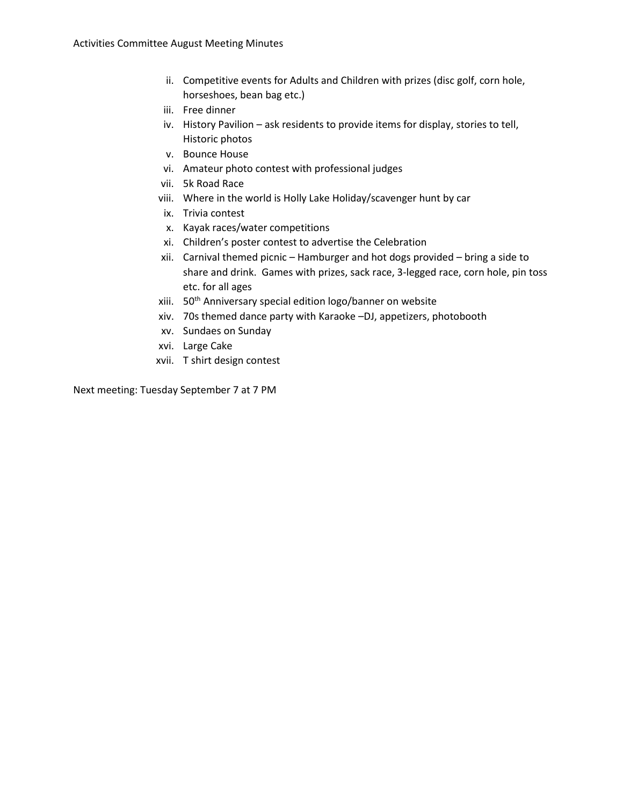- ii. Competitive events for Adults and Children with prizes (disc golf, corn hole, horseshoes, bean bag etc.)
- iii. Free dinner
- iv. History Pavilion ask residents to provide items for display, stories to tell, Historic photos
- v. Bounce House
- vi. Amateur photo contest with professional judges
- vii. 5k Road Race
- viii. Where in the world is Holly Lake Holiday/scavenger hunt by car
- ix. Trivia contest
- x. Kayak races/water competitions
- xi. Children's poster contest to advertise the Celebration
- xii. Carnival themed picnic Hamburger and hot dogs provided bring a side to share and drink. Games with prizes, sack race, 3-legged race, corn hole, pin toss etc. for all ages
- xiii. 50<sup>th</sup> Anniversary special edition logo/banner on website
- xiv. 70s themed dance party with Karaoke –DJ, appetizers, photobooth
- xv. Sundaes on Sunday
- xvi. Large Cake
- xvii. T shirt design contest

Next meeting: Tuesday September 7 at 7 PM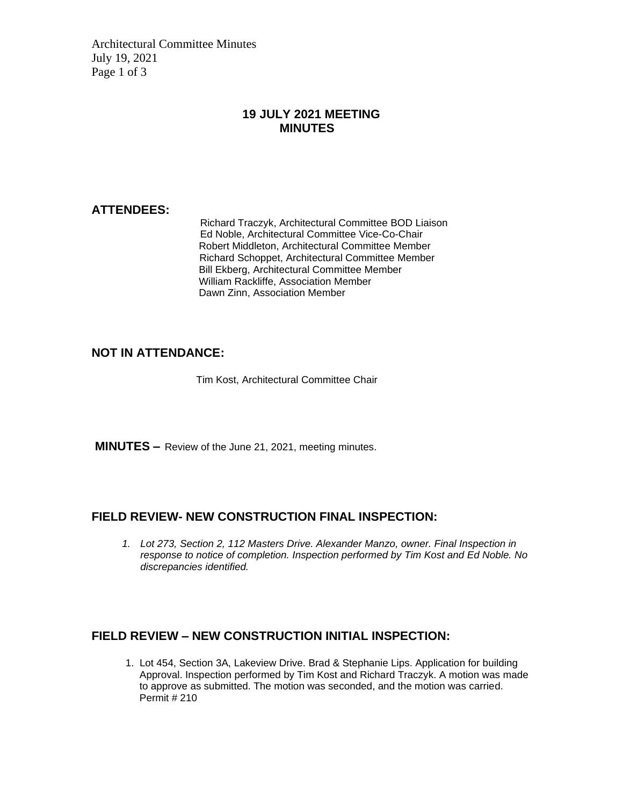Architectural Committee Minutes July 19, 2021 Page 1 of 3

#### **19 JULY 2021 MEETING MINUTES**

#### **ATTENDEES:**

Richard Traczyk, Architectural Committee BOD Liaison Ed Noble, Architectural Committee Vice-Co-Chair Robert Middleton, Architectural Committee Member Richard Schoppet, Architectural Committee Member Bill Ekberg, Architectural Committee Member William Rackliffe, Association Member Dawn Zinn, Association Member

## **NOT IN ATTENDANCE:**

Tim Kost, Architectural Committee Chair

**MINUTES –** Review of the June 21, 2021, meeting minutes.

#### **FIELD REVIEW- NEW CONSTRUCTION FINAL INSPECTION:**

*1. Lot 273, Section 2, 112 Masters Drive. Alexander Manzo, owner. Final Inspection in response to notice of completion. Inspection performed by Tim Kost and Ed Noble. No discrepancies identified.*

#### **FIELD REVIEW – NEW CONSTRUCTION INITIAL INSPECTION:**

1. Lot 454, Section 3A, Lakeview Drive. Brad & Stephanie Lips. Application for building Approval. Inspection performed by Tim Kost and Richard Traczyk. A motion was made to approve as submitted. The motion was seconded, and the motion was carried. Permit # 210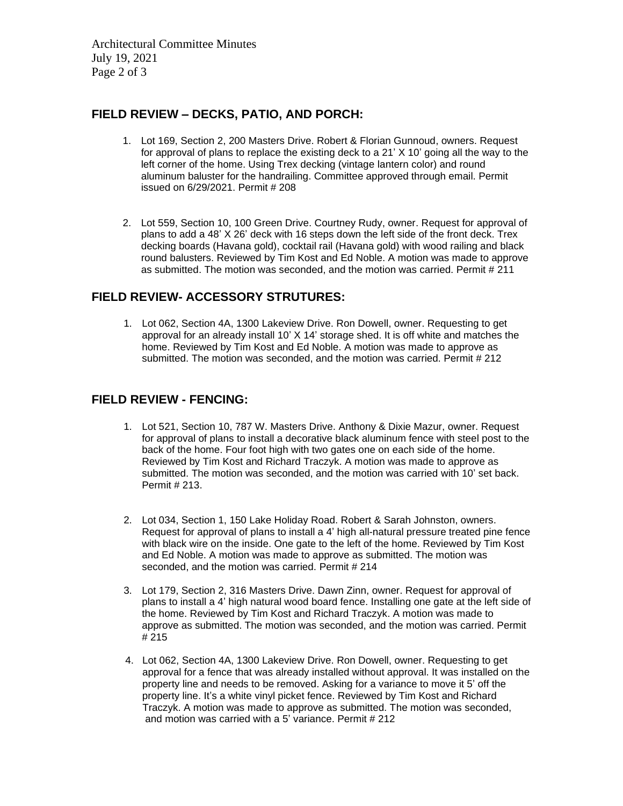Architectural Committee Minutes July 19, 2021 Page 2 of 3

## **FIELD REVIEW – DECKS, PATIO, AND PORCH:**

- 1. Lot 169, Section 2, 200 Masters Drive. Robert & Florian Gunnoud, owners. Request for approval of plans to replace the existing deck to a 21' X 10' going all the way to the left corner of the home. Using Trex decking (vintage lantern color) and round aluminum baluster for the handrailing. Committee approved through email. Permit issued on 6/29/2021. Permit # 208
- 2. Lot 559, Section 10, 100 Green Drive. Courtney Rudy, owner. Request for approval of plans to add a 48' X 26' deck with 16 steps down the left side of the front deck. Trex decking boards (Havana gold), cocktail rail (Havana gold) with wood railing and black round balusters. Reviewed by Tim Kost and Ed Noble. A motion was made to approve as submitted. The motion was seconded, and the motion was carried. Permit # 211

## **FIELD REVIEW- ACCESSORY STRUTURES:**

1. Lot 062, Section 4A, 1300 Lakeview Drive. Ron Dowell, owner. Requesting to get approval for an already install 10' X 14' storage shed. It is off white and matches the home. Reviewed by Tim Kost and Ed Noble. A motion was made to approve as submitted. The motion was seconded, and the motion was carried. Permit # 212

#### **FIELD REVIEW - FENCING:**

- 1. Lot 521, Section 10, 787 W. Masters Drive. Anthony & Dixie Mazur, owner. Request for approval of plans to install a decorative black aluminum fence with steel post to the back of the home. Four foot high with two gates one on each side of the home. Reviewed by Tim Kost and Richard Traczyk. A motion was made to approve as submitted. The motion was seconded, and the motion was carried with 10' set back. Permit # 213.
- 2. Lot 034, Section 1, 150 Lake Holiday Road. Robert & Sarah Johnston, owners. Request for approval of plans to install a 4' high all-natural pressure treated pine fence with black wire on the inside. One gate to the left of the home. Reviewed by Tim Kost and Ed Noble. A motion was made to approve as submitted. The motion was seconded, and the motion was carried. Permit # 214
- 3. Lot 179, Section 2, 316 Masters Drive. Dawn Zinn, owner. Request for approval of plans to install a 4' high natural wood board fence. Installing one gate at the left side of the home. Reviewed by Tim Kost and Richard Traczyk. A motion was made to approve as submitted. The motion was seconded, and the motion was carried. Permit # 215
- 4. Lot 062, Section 4A, 1300 Lakeview Drive. Ron Dowell, owner. Requesting to get approval for a fence that was already installed without approval. It was installed on the property line and needs to be removed. Asking for a variance to move it 5' off the property line. It's a white vinyl picket fence. Reviewed by Tim Kost and Richard Traczyk. A motion was made to approve as submitted. The motion was seconded, and motion was carried with a 5' variance. Permit # 212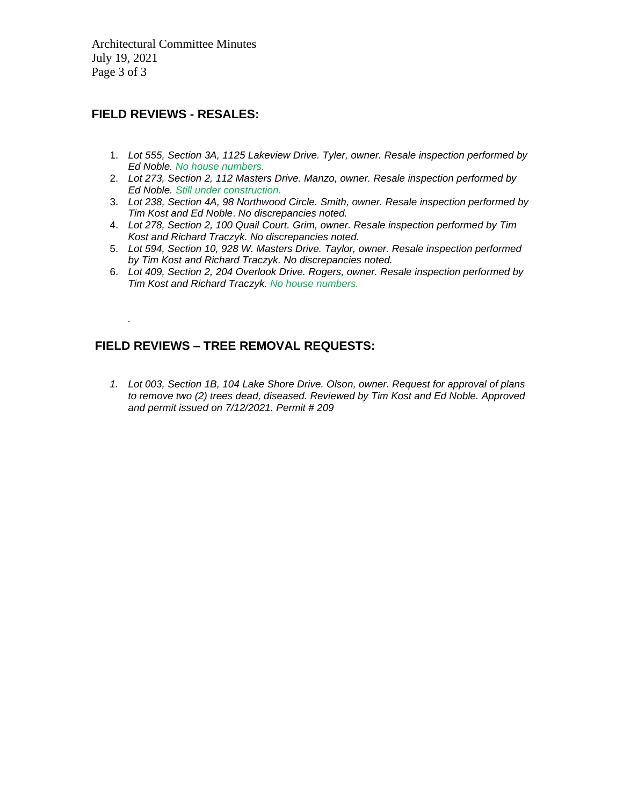Architectural Committee Minutes July 19, 2021 Page 3 of 3

#### **FIELD REVIEWS - RESALES:**

*.*

- 1. *Lot 555, Section 3A, 1125 Lakeview Drive. Tyler, owner. Resale inspection performed by Ed Noble. No house numbers.*
- 2. *Lot 273, Section 2, 112 Masters Drive. Manzo, owner. Resale inspection performed by Ed Noble. Still under construction.*
- 3. *Lot 238, Section 4A, 98 Northwood Circle. Smith, owner. Resale inspection performed by Tim Kost and Ed Noble*. *No discrepancies noted.*
- 4. *Lot 278, Section 2, 100 Quail Court. Grim, owner. Resale inspection performed by Tim Kost and Richard Traczyk. No discrepancies noted.*
- 5. *Lot 594, Section 10, 928 W. Masters Drive. Taylor, owner. Resale inspection performed by Tim Kost and Richard Traczyk. No discrepancies noted.*
- 6. *Lot 409, Section 2, 204 Overlook Drive. Rogers, owner. Resale inspection performed by Tim Kost and Richard Traczyk. No house numbers.*

## **FIELD REVIEWS – TREE REMOVAL REQUESTS:**

*1. Lot 003, Section 1B, 104 Lake Shore Drive. Olson, owner. Request for approval of plans to remove two (2) trees dead, diseased. Reviewed by Tim Kost and Ed Noble. Approved and permit issued on 7/12/2021. Permit # 209*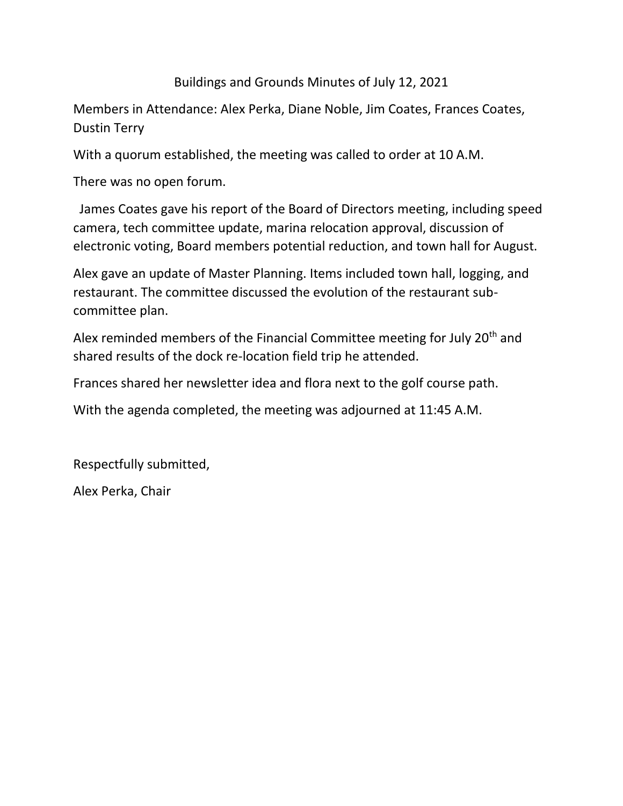Buildings and Grounds Minutes of July 12, 2021

Members in Attendance: Alex Perka, Diane Noble, Jim Coates, Frances Coates, Dustin Terry

With a quorum established, the meeting was called to order at 10 A.M.

There was no open forum.

 James Coates gave his report of the Board of Directors meeting, including speed camera, tech committee update, marina relocation approval, discussion of electronic voting, Board members potential reduction, and town hall for August.

Alex gave an update of Master Planning. Items included town hall, logging, and restaurant. The committee discussed the evolution of the restaurant subcommittee plan.

Alex reminded members of the Financial Committee meeting for July 20<sup>th</sup> and shared results of the dock re-location field trip he attended.

Frances shared her newsletter idea and flora next to the golf course path.

With the agenda completed, the meeting was adjourned at 11:45 A.M.

Respectfully submitted,

Alex Perka, Chair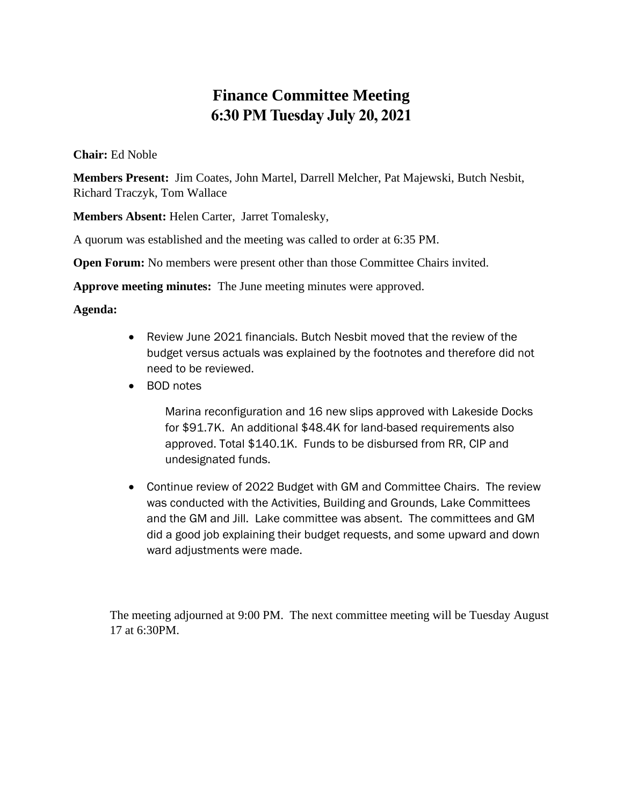# **Finance Committee Meeting 6:30 PM Tuesday July 20, 2021**

#### **Chair:** Ed Noble

**Members Present:** Jim Coates, John Martel, Darrell Melcher, Pat Majewski, Butch Nesbit, Richard Traczyk, Tom Wallace

**Members Absent:** Helen Carter, Jarret Tomalesky,

A quorum was established and the meeting was called to order at 6:35 PM.

**Open Forum:** No members were present other than those Committee Chairs invited.

**Approve meeting minutes:** The June meeting minutes were approved.

#### **Agenda:**

- Review June 2021 financials. Butch Nesbit moved that the review of the budget versus actuals was explained by the footnotes and therefore did not need to be reviewed.
- BOD notes

Marina reconfiguration and 16 new slips approved with Lakeside Docks for \$91.7K. An additional \$48.4K for land-based requirements also approved. Total \$140.1K. Funds to be disbursed from RR, CIP and undesignated funds.

• Continue review of 2022 Budget with GM and Committee Chairs. The review was conducted with the Activities, Building and Grounds, Lake Committees and the GM and Jill. Lake committee was absent. The committees and GM did a good job explaining their budget requests, and some upward and down ward adjustments were made.

The meeting adjourned at 9:00 PM. The next committee meeting will be Tuesday August 17 at 6:30PM.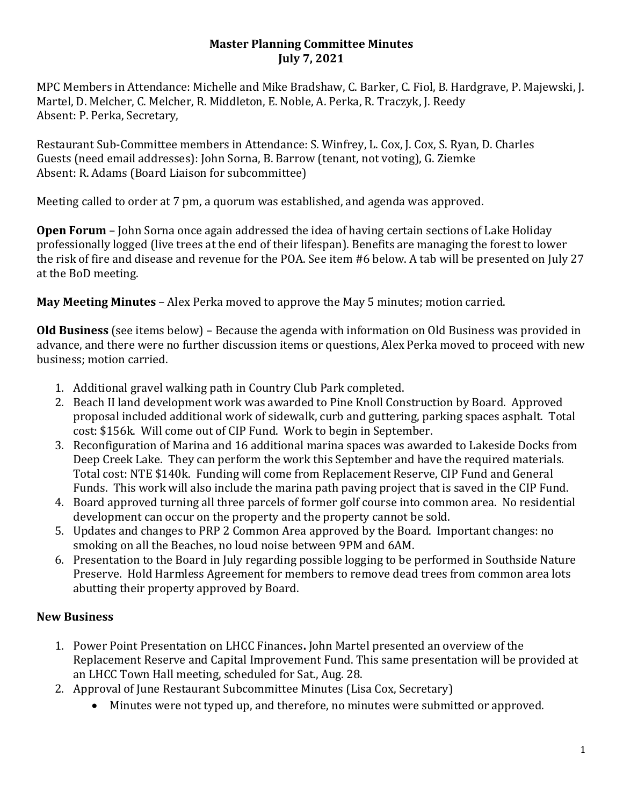## **Master Planning Committee Minutes July 7, 2021**

MPC Members in Attendance: Michelle and Mike Bradshaw, C. Barker, C. Fiol, B. Hardgrave, P. Majewski, J. Martel, D. Melcher, C. Melcher, R. Middleton, E. Noble, A. Perka, R. Traczyk, J. Reedy Absent: P. Perka, Secretary,

Restaurant Sub-Committee members in Attendance: S. Winfrey, L. Cox, J. Cox, S. Ryan, D. Charles Guests (need email addresses): John Sorna, B. Barrow (tenant, not voting), G. Ziemke Absent: R. Adams (Board Liaison for subcommittee)

Meeting called to order at 7 pm, a quorum was established, and agenda was approved.

**Open Forum** – John Sorna once again addressed the idea of having certain sections of Lake Holiday professionally logged (live trees at the end of their lifespan). Benefits are managing the forest to lower the risk of fire and disease and revenue for the POA. See item #6 below. A tab will be presented on July 27 at the BoD meeting.

**May Meeting Minutes** – Alex Perka moved to approve the May 5 minutes; motion carried.

**Old Business** (see items below) – Because the agenda with information on Old Business was provided in advance, and there were no further discussion items or questions, Alex Perka moved to proceed with new business; motion carried.

- 1. Additional gravel walking path in Country Club Park completed.
- 2. Beach II land development work was awarded to Pine Knoll Construction by Board. Approved proposal included additional work of sidewalk, curb and guttering, parking spaces asphalt. Total cost: \$156k. Will come out of CIP Fund. Work to begin in September.
- 3. Reconfiguration of Marina and 16 additional marina spaces was awarded to Lakeside Docks from Deep Creek Lake. They can perform the work this September and have the required materials. Total cost: NTE \$140k. Funding will come from Replacement Reserve, CIP Fund and General Funds. This work will also include the marina path paving project that is saved in the CIP Fund.
- 4. Board approved turning all three parcels of former golf course into common area. No residential development can occur on the property and the property cannot be sold.
- 5. Updates and changes to PRP 2 Common Area approved by the Board. Important changes: no smoking on all the Beaches, no loud noise between 9PM and 6AM.
- 6. Presentation to the Board in July regarding possible logging to be performed in Southside Nature Preserve. Hold Harmless Agreement for members to remove dead trees from common area lots abutting their property approved by Board.

# **New Business**

- 1. Power Point Presentation on LHCC Finances**.** John Martel presented an overview of the Replacement Reserve and Capital Improvement Fund. This same presentation will be provided at an LHCC Town Hall meeting, scheduled for Sat., Aug. 28.
- 2. Approval of June Restaurant Subcommittee Minutes (Lisa Cox, Secretary)
	- Minutes were not typed up, and therefore, no minutes were submitted or approved.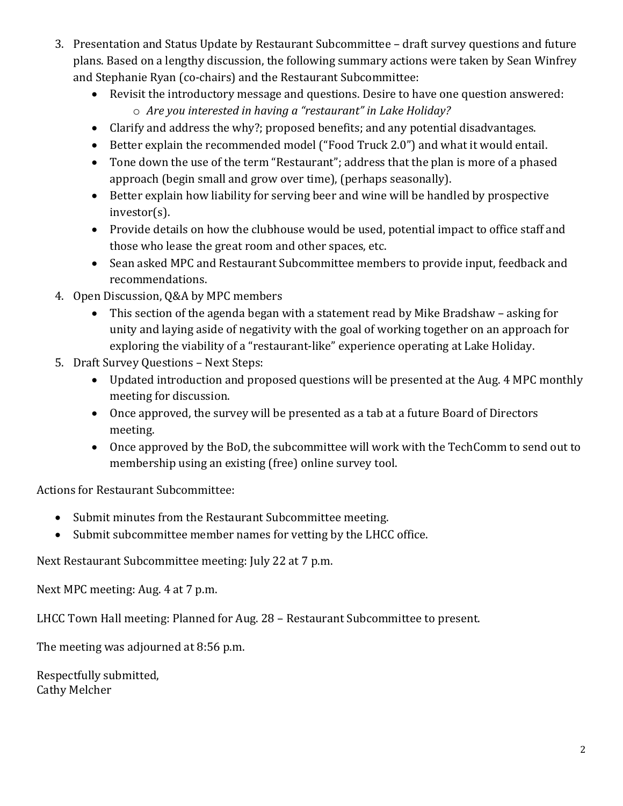- 3. Presentation and Status Update by Restaurant Subcommittee draft survey questions and future plans. Based on a lengthy discussion, the following summary actions were taken by Sean Winfrey and Stephanie Ryan (co-chairs) and the Restaurant Subcommittee:
	- Revisit the introductory message and questions. Desire to have one question answered:
		- o *Are you interested in having a "restaurant" in Lake Holiday?*
	- Clarify and address the why?; proposed benefits; and any potential disadvantages.
	- Better explain the recommended model ("Food Truck 2.0") and what it would entail.
	- Tone down the use of the term "Restaurant"; address that the plan is more of a phased approach (begin small and grow over time), (perhaps seasonally).
	- Better explain how liability for serving beer and wine will be handled by prospective investor(s).
	- Provide details on how the clubhouse would be used, potential impact to office staff and those who lease the great room and other spaces, etc.
	- Sean asked MPC and Restaurant Subcommittee members to provide input, feedback and recommendations.
- 4. Open Discussion, Q&A by MPC members
	- This section of the agenda began with a statement read by Mike Bradshaw asking for unity and laying aside of negativity with the goal of working together on an approach for exploring the viability of a "restaurant-like" experience operating at Lake Holiday.
- 5. Draft Survey Questions Next Steps:
	- Updated introduction and proposed questions will be presented at the Aug. 4 MPC monthly meeting for discussion.
	- Once approved, the survey will be presented as a tab at a future Board of Directors meeting.
	- Once approved by the BoD, the subcommittee will work with the TechComm to send out to membership using an existing (free) online survey tool.

Actions for Restaurant Subcommittee:

- Submit minutes from the Restaurant Subcommittee meeting.
- Submit subcommittee member names for vetting by the LHCC office.

Next Restaurant Subcommittee meeting: July 22 at 7 p.m.

Next MPC meeting: Aug. 4 at 7 p.m.

LHCC Town Hall meeting: Planned for Aug. 28 – Restaurant Subcommittee to present.

The meeting was adjourned at 8:56 p.m.

Respectfully submitted, Cathy Melcher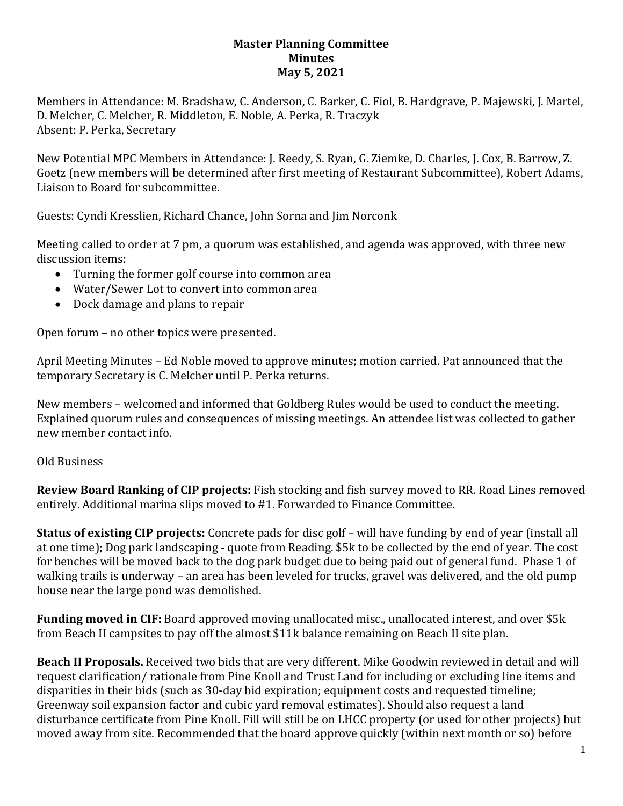## **Master Planning Committee Minutes May 5, 2021**

Members in Attendance: M. Bradshaw, C. Anderson, C. Barker, C. Fiol, B. Hardgrave, P. Majewski, J. Martel, D. Melcher, C. Melcher, R. Middleton, E. Noble, A. Perka, R. Traczyk Absent: P. Perka, Secretary

New Potential MPC Members in Attendance: J. Reedy, S. Ryan, G. Ziemke, D. Charles, J. Cox, B. Barrow, Z. Goetz (new members will be determined after first meeting of Restaurant Subcommittee), Robert Adams, Liaison to Board for subcommittee.

Guests: Cyndi Kresslien, Richard Chance, John Sorna and Jim Norconk

Meeting called to order at 7 pm, a quorum was established, and agenda was approved, with three new discussion items:

- Turning the former golf course into common area
- Water/Sewer Lot to convert into common area
- Dock damage and plans to repair

Open forum – no other topics were presented.

April Meeting Minutes – Ed Noble moved to approve minutes; motion carried. Pat announced that the temporary Secretary is C. Melcher until P. Perka returns.

New members – welcomed and informed that Goldberg Rules would be used to conduct the meeting. Explained quorum rules and consequences of missing meetings. An attendee list was collected to gather new member contact info.

## Old Business

**Review Board Ranking of CIP projects:** Fish stocking and fish survey moved to RR. Road Lines removed entirely. Additional marina slips moved to #1. Forwarded to Finance Committee.

**Status of existing CIP projects:** Concrete pads for disc golf – will have funding by end of year (install all at one time); Dog park landscaping - quote from Reading. \$5k to be collected by the end of year. The cost for benches will be moved back to the dog park budget due to being paid out of general fund. Phase 1 of walking trails is underway – an area has been leveled for trucks, gravel was delivered, and the old pump house near the large pond was demolished.

**Funding moved in CIF:** Board approved moving unallocated misc., unallocated interest, and over \$5k from Beach II campsites to pay off the almost \$11k balance remaining on Beach II site plan.

**Beach II Proposals.** Received two bids that are very different. Mike Goodwin reviewed in detail and will request clarification/ rationale from Pine Knoll and Trust Land for including or excluding line items and disparities in their bids (such as 30-day bid expiration; equipment costs and requested timeline; Greenway soil expansion factor and cubic yard removal estimates). Should also request a land disturbance certificate from Pine Knoll. Fill will still be on LHCC property (or used for other projects) but moved away from site. Recommended that the board approve quickly (within next month or so) before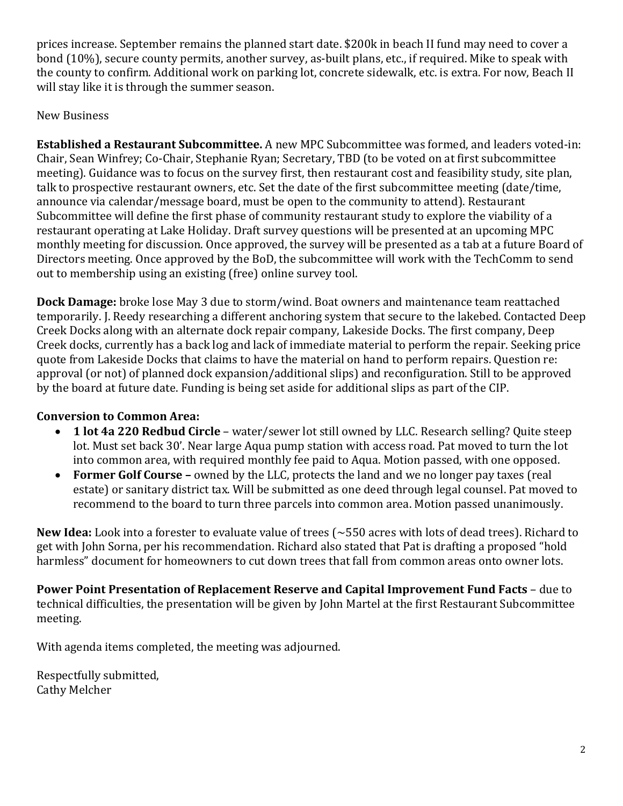prices increase. September remains the planned start date. \$200k in beach II fund may need to cover a bond (10%), secure county permits, another survey, as-built plans, etc., if required. Mike to speak with the county to confirm. Additional work on parking lot, concrete sidewalk, etc. is extra. For now, Beach II will stay like it is through the summer season.

## New Business

**Established a Restaurant Subcommittee.** A new MPC Subcommittee was formed, and leaders voted-in: Chair, Sean Winfrey; Co-Chair, Stephanie Ryan; Secretary, TBD (to be voted on at first subcommittee meeting). Guidance was to focus on the survey first, then restaurant cost and feasibility study, site plan, talk to prospective restaurant owners, etc. Set the date of the first subcommittee meeting (date/time, announce via calendar/message board, must be open to the community to attend). Restaurant Subcommittee will define the first phase of community restaurant study to explore the viability of a restaurant operating at Lake Holiday. Draft survey questions will be presented at an upcoming MPC monthly meeting for discussion. Once approved, the survey will be presented as a tab at a future Board of Directors meeting. Once approved by the BoD, the subcommittee will work with the TechComm to send out to membership using an existing (free) online survey tool.

**Dock Damage:** broke lose May 3 due to storm/wind. Boat owners and maintenance team reattached temporarily. J. Reedy researching a different anchoring system that secure to the lakebed. Contacted Deep Creek Docks along with an alternate dock repair company, Lakeside Docks. The first company, Deep Creek docks, currently has a back log and lack of immediate material to perform the repair. Seeking price quote from Lakeside Docks that claims to have the material on hand to perform repairs. Question re: approval (or not) of planned dock expansion/additional slips) and reconfiguration. Still to be approved by the board at future date. Funding is being set aside for additional slips as part of the CIP.

# **Conversion to Common Area:**

- **1 lot 4a 220 Redbud Circle**  water/sewer lot still owned by LLC. Research selling? Quite steep lot. Must set back 30'. Near large Aqua pump station with access road. Pat moved to turn the lot into common area, with required monthly fee paid to Aqua. Motion passed, with one opposed.
- **Former Golf Course –** owned by the LLC, protects the land and we no longer pay taxes (real estate) or sanitary district tax. Will be submitted as one deed through legal counsel. Pat moved to recommend to the board to turn three parcels into common area. Motion passed unanimously.

**New Idea:** Look into a forester to evaluate value of trees (~550 acres with lots of dead trees). Richard to get with John Sorna, per his recommendation. Richard also stated that Pat is drafting a proposed "hold harmless" document for homeowners to cut down trees that fall from common areas onto owner lots.

**Power Point Presentation of Replacement Reserve and Capital Improvement Fund Facts** – due to technical difficulties, the presentation will be given by John Martel at the first Restaurant Subcommittee meeting.

With agenda items completed, the meeting was adjourned.

Respectfully submitted, Cathy Melcher